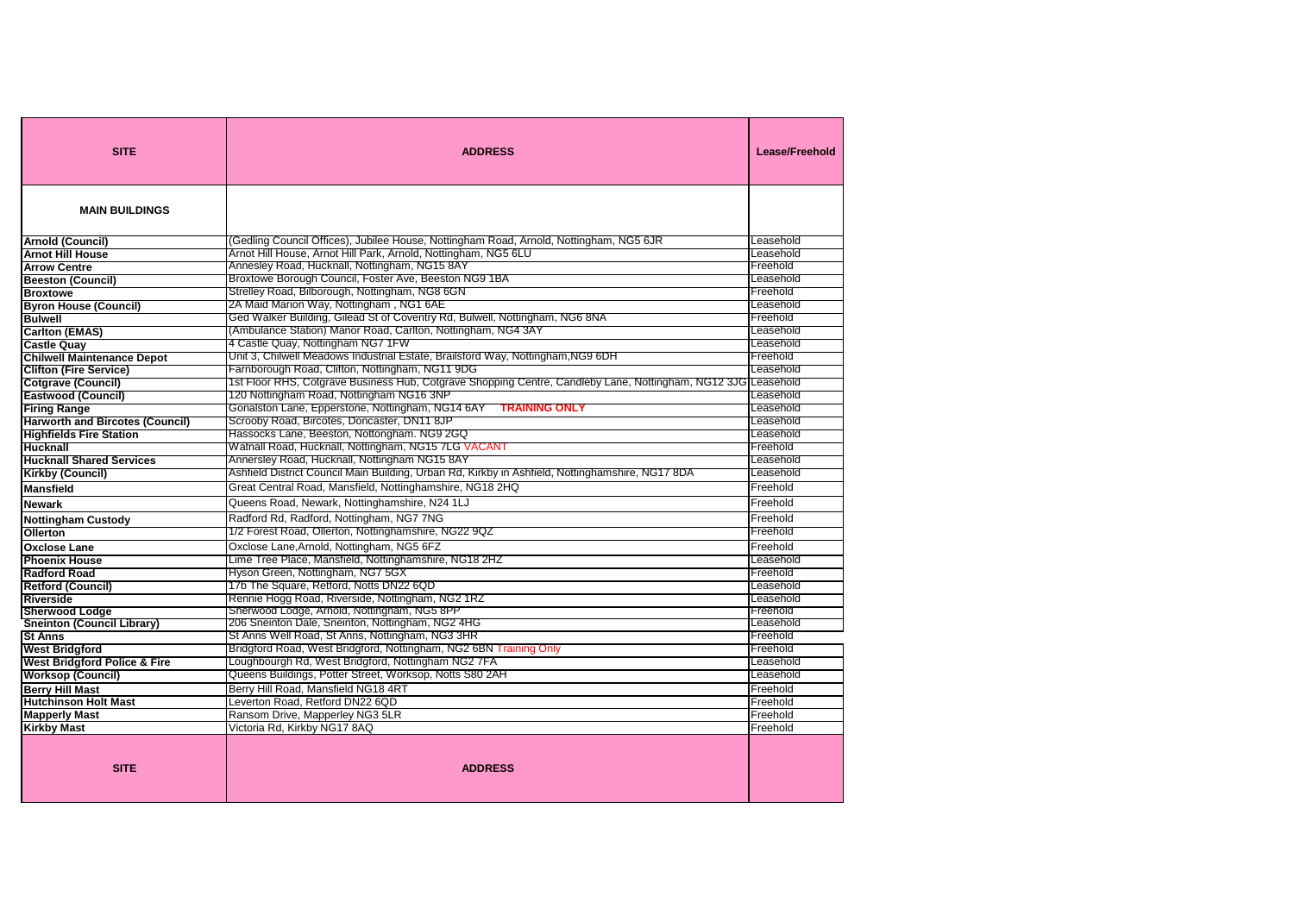| <b>SITE</b>                             | <b>ADDRESS</b>                                                                                                | <b>Lease/Freehold</b> |
|-----------------------------------------|---------------------------------------------------------------------------------------------------------------|-----------------------|
| <b>MAIN BUILDINGS</b>                   |                                                                                                               |                       |
| <b>Arnold (Council)</b>                 | (Gedling Council Offices), Jubilee House, Nottingham Road, Arnold, Nottingham, NG5 6JR                        | Leasehold             |
| <b>Arnot Hill House</b>                 | Arnot Hill House, Arnot Hill Park, Arnold, Nottingham, NG5 6LU                                                | Leasehold             |
| <b>Arrow Centre</b>                     | Annesley Road, Hucknall, Nottingham, NG15 8AY                                                                 | Freehold              |
| <b>Beeston (Council)</b>                | Broxtowe Borough Council, Foster Ave, Beeston NG9 1BA                                                         | Leasehold             |
| <b>Broxtowe</b>                         | Strelley Road, Bilborough, Nottingham, NG8 6GN                                                                | Freehold              |
| <b>Byron House (Council)</b>            | 2A Maid Marion Way, Nottingham , NG1 6AE                                                                      | Leasehold             |
| <b>Bulwell</b>                          | Ged Walker Building, Gilead St of Coventry Rd, Bulwell, Nottingham, NG6 8NA                                   | Freehold              |
| <b>Carlton (EMAS)</b>                   | (Ambulance Station) Manor Road, Carlton, Nottingham, NG4 3AY                                                  | Leasehold             |
| <b>Castle Quay</b>                      | 4 Castle Quay, Nottingham NG7 1FW                                                                             | Leasehold             |
| <b>Chilwell Maintenance Depot</b>       | Unit 3, Chilwell Meadows Industrial Estate, Brailsford Way, Nottingham,NG9 6DH                                | Freehold              |
| <b>Clifton (Fire Service)</b>           | Farnborough Road, Clifton, Nottingham, NG11 9DG                                                               | Leasehold             |
| <b>Cotgrave (Council)</b>               | 1st Floor RHS, Cotgrave Business Hub, Cotgrave Shopping Centre, Candleby Lane, Nottingham, NG12 3JG Leasehold |                       |
| <b>Eastwood (Council)</b>               | 120 Nottingham Road, Nottingham NG16 3NP                                                                      | Leasehold             |
| <b>Firing Range</b>                     | Gonalston Lane, Epperstone, Nottingham, NG14 6AY TRAINING ONLY                                                | Leasehold             |
| <b>Harworth and Bircotes (Council)</b>  | Scrooby Road, Bircotes, Doncaster, DN11 8JP                                                                   | Leasehold             |
| <b>Highfields Fire Station</b>          | Hassocks Lane, Beeston, Nottongham. NG9 2GQ                                                                   | Leasehold             |
| <b>Hucknall</b>                         | Watnall Road, Hucknall, Nottingham, NG15 7LG VACANT                                                           | Freehold              |
| <b>Hucknall Shared Services</b>         | Annersley Road, Hucknall, Nottingham NG15 8AY                                                                 | Leasehold             |
| <b>Kirkby (Council)</b>                 | Ashfield District Council Main Building, Urban Rd, Kirkby in Ashfield, Nottinghamshire, NG17 8DA              | Leasehold             |
| <b>Mansfield</b>                        | Great Central Road, Mansfield, Nottinghamshire, NG18 2HQ                                                      | Freehold              |
| <b>Newark</b>                           | Queens Road, Newark, Nottinghamshire, N24 1LJ                                                                 | Freehold              |
| <b>Nottingham Custody</b>               | Radford Rd, Radford, Nottingham, NG7 7NG                                                                      | Freehold              |
| <b>Ollerton</b>                         | 1/2 Forest Road, Ollerton, Nottinghamshire, NG22 9QZ                                                          | Freehold              |
| <b>Oxclose Lane</b>                     | Oxclose Lane, Arnold, Nottingham, NG5 6FZ                                                                     | Freehold              |
| <b>Phoenix House</b>                    | Lime Tree Place, Mansfield, Nottinghamshire, NG18 2HZ                                                         | Leasehold             |
| <b>Radford Road</b>                     | Hyson Green, Nottingham, NG7 5GX                                                                              | Freehold              |
| <b>Retford (Council)</b>                | 17b The Square, Retford, Notts DN22 6QD                                                                       | Leasehold             |
| <b>Riverside</b>                        | Rennie Hogg Road, Riverside, Nottingham, NG2 1RZ                                                              | Leasehold             |
| <b>Sherwood Lodge</b>                   | Sherwood Lodge, Arnold, Nottingham, NG5 8PP                                                                   | Freehold              |
| <b>Sneinton (Council Library)</b>       | 206 Sneinton Dale, Sneinton, Nottingham, NG2 4HG                                                              | Leasehold             |
| <b>St Anns</b>                          | St Anns Well Road, St Anns, Nottingham, NG3 3HR                                                               | Freehold              |
| <b>West Bridgford</b>                   | Bridgford Road, West Bridgford, Nottingham, NG2 6BN Training Only                                             | Freehold              |
| <b>West Bridgford Police &amp; Fire</b> | Loughbourgh Rd, West Bridgford, Nottingham NG2 7FA                                                            | Leasehold             |
| <b>Worksop (Council)</b>                | Queens Buildings, Potter Street, Worksop, Notts S80 2AH                                                       | Leasehold             |
| <b>Berry Hill Mast</b>                  | Berry Hill Road, Mansfield NG18 4RT                                                                           | Freehold              |
| <b>Hutchinson Holt Mast</b>             | Leverton Road, Retford DN22 6QD                                                                               | Freehold              |
| <b>Mapperly Mast</b>                    | Ransom Drive, Mapperley NG3 5LR                                                                               | Freehold              |
| <b>Kirkby Mast</b>                      | Victoria Rd, Kirkby NG17 8AQ                                                                                  | Freehold              |
| <b>SITE</b>                             | <b>ADDRESS</b>                                                                                                |                       |